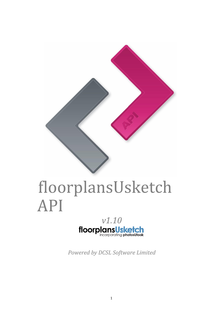

# floorplansUsketch API



*Powered by DCSL Software Limited*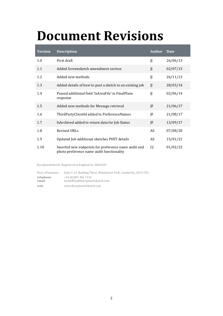# <span id="page-1-0"></span>**Document Revisions**

| <b>Version</b> | <b>Description</b>                                                                                | <b>Author</b> | Date     |
|----------------|---------------------------------------------------------------------------------------------------|---------------|----------|
| 1.0            | First draft                                                                                       | JJ            | 26/06/13 |
| 1.1            | Added Screensketch amendment section                                                              | $\mathbf{I}$  | 02/07/13 |
| 1.2            | Added new methods                                                                                 | JJ            | 26/11/13 |
| 1.3            | Added details of how to post a sketch to an existing job                                          | $\mathbf{J}$  | 28/03/14 |
| 1.4            | Passed additional field 'IsAreaFile' in FinalPlans<br>response                                    | $\mathbf{J}$  | 02/06/14 |
| 1.5            | Added new methods for Message retrieval                                                           | JF            | 21/06/17 |
| 1.6            | ThirdPartyClientId added to PreferenceNames                                                       | JF            | 21/08/17 |
| 1.7            | IsArchived added to return data for Job Status                                                    | JF            | 13/09/17 |
| 1.8            | Revised URLs                                                                                      | AS            | 07/08/20 |
| 1.9            | Updated Job additional sketches POST details                                                      | AS            | 15/01/21 |
| 1.10           | Inserted new endpoints for preference name audit and<br>photo preference name audit functionality | CI            | 01/02/22 |

floorplansUsketch. Registered in England no. 5864245

| Place of business:   | Suite 1.14, Building Three, Watchmoor Park, Camberley, GU15 3YL |
|----------------------|-----------------------------------------------------------------|
| telephone:<br>email: | +44 (0) 203 301 7216<br>headoffice@floorplansUsketch.com        |
| web:                 | www.floorplansUsketch.com                                       |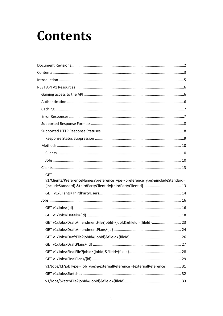# <span id="page-2-0"></span>**Contents**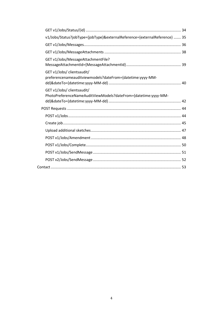| v1/Jobs/Status?jobType={jobType}&externalReference={externalReference}  35                   |  |
|----------------------------------------------------------------------------------------------|--|
|                                                                                              |  |
|                                                                                              |  |
| GET v1/Jobs/MessageAttachmentFile?                                                           |  |
| GET v1/Jobs/ clientsaudit/<br>preferencenameauditviewmodels?dateFrom={datetime:yyyy-MM-      |  |
| GET v1/Jobs/ clientsaudit/<br>PhotoPreferenceNameAuditViewModels?dateFrom={datetime:yyyy-MM- |  |
|                                                                                              |  |
|                                                                                              |  |
|                                                                                              |  |
|                                                                                              |  |
|                                                                                              |  |
|                                                                                              |  |
|                                                                                              |  |
|                                                                                              |  |
|                                                                                              |  |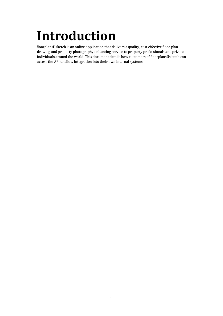# <span id="page-4-0"></span>**Introduction**

floorplansUsketch is an online application that delivers a quality, cost effective floor plan drawing and property photography enhancing service to property professionals and private individuals around the world. This document details how customers of floorplansUsketch can access the API to allow integration into their own internal systems.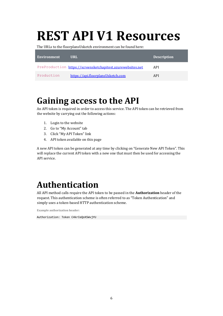# <span id="page-5-0"></span>**REST API V1 Resources**

The URLs to the floorplansUsketch environment can be found here:

| <b>Environment</b> | URL.                                                        | <b>Description</b> |
|--------------------|-------------------------------------------------------------|--------------------|
|                    | PreProduction https://screensketchapitest.azurewebsites.net | API                |
| Production         | https://api.floorplansUsketch.com                           | API                |

# <span id="page-5-1"></span>**Gaining access to the API**

An API token is required in order to access this service. The API token can be retrieved from the website by carrying out the following actions:

- 1. Login to the website
- 2. Go to "My Account" tab
- 3. Click "My API Token" link
- 4. API token available on this page

A new API token can be generated at any time by clicking on "Generate New API Token". This will replace the current API token with a new one that must then be used for accessing the API service.

# <span id="page-5-2"></span>**Authentication**

All API method calls require the API token to be passed in the **Authorization** header of the request. This authentication scheme is often referred to as "Token Authentication" and simply uses a token-based HTTP authentication scheme.

**Example authorization header:** 

Authorization: Token C4krIeQoXSWvjYU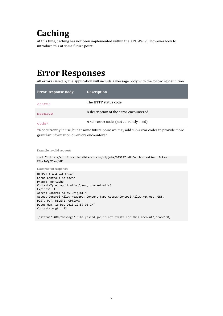# <span id="page-6-0"></span>**Caching**

At this time, caching has not been implemented within the API. We will however look to introduce this at some future point.

# <span id="page-6-1"></span>**Error Responses**

All errors raised by the application will include a message body with the following definition.

| <b>Error Response Body</b> | <b>Description</b>                     |
|----------------------------|----------------------------------------|
| status                     | The HTTP status code                   |
| message                    | A description of the error encountered |
| $\text{code}$              | A sub-error code, (not currently used) |

\*Not currently in use, but at some future point we may add sub-error codes to provide more granular information on errors encountered.

**Example invalid request:** 

```
curl "https://api.floorplansUsketch.com/v1/jobs/64512" –H "Authorization: Token 
C4krIeQoXSWvjYU"
```
**Example full response:** 

HTTP/1.1 404 Not Found Cache-Control: no-cache Pragma: no-cache Content-Type: application/json; charset=utf-8 Expires: -1 Access-Control-Allow-Origin: \* Access-Control-Allow-Headers: Content-Type Access-Control-Allow-Methods: GET, POST, PUT, DELETE, OPTIONS Date: Mon, 16 Dec 2013 12:59:03 GMT Content-Length: 72

{"status":400,"message":"The passed job id not exists for this account","code":0}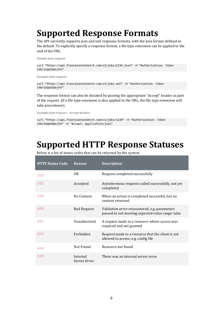# <span id="page-7-0"></span>**Supported Response Formats**

The API currently supports json and xml response formats, with the json format defined as the default. To explicitly specify a response format, a file type extension can be applied to the end of the URL.

**Sample Json request:** 

curl "https://api.floorplansUsketch.com/v1/jobs/1234.json" –H "Authorization: Token C4krIeQoXSWvjYU"

**Example Xml request:** 

curl "https://api.floorplansUsketch.com/v1/jobs.xml" –H "Authorization: Token C4krIeQoXSWvjYU"

The response format can also be dictated by passing the appropriate "Accept" header as part of the request. (If a file type extension is also applied to the URL, the file type extension will take precedence).

**Example Json request – Accept Header:** 

```
curl "https://api.floorplansUsketch.com/v1/jobs/1234" –H "Authorization: Token 
C4krIeQoXSWvjYU" -H "Accept: application/json"
```
# <span id="page-7-1"></span>**Supported HTTP Response Statuses**

Below is a list of status codes that can be returned by the system.

| <b>HTTP Status Code</b> | <b>Reason</b>            | <b>Description</b>                                                                                |
|-------------------------|--------------------------|---------------------------------------------------------------------------------------------------|
| 200                     | 0K                       | Request completed successfully                                                                    |
| 202                     | Accepted                 | Asynchronous requests called successfully, not yet<br>completed                                   |
| 204                     | No Content               | When an action is completed successful, but no<br>content returned                                |
| 400                     | <b>Bad Request</b>       | Validation error encountered, e.g. parameters<br>passed-in not meeting expected value range rules |
| 401                     | Unauthorized             | A request made to a resource where access was<br>required and not granted                         |
| 403                     | Forbidden                | Request made to a resource that the client is not<br>allowed to access; e.g. config file          |
| 404                     | Not Found                | Resource not found                                                                                |
| 500                     | Internal<br>Server Error | There was an internal server error                                                                |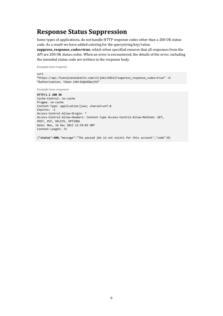### <span id="page-8-0"></span>**Response Status Suppression**

Some types of applications, do not handle HTTP response codes other than a 200 OK status code. As a result we have added catering for the querystring key/value;

**suppress\_response\_codes=true**, which when specified ensures that all responses from the API are 200 OK status codes. When an error is encountered, the details of the error, including the intended status code are written to the response body.

**Example Json request:** 

curl "https://api.floorplansUsketch.com/v1/jobs/64512?suppress\_response\_codes=true" –H "Authorization: Token C4krIeQoXSWvjYU"

**Example Json response:** 

**HTTP/1.1 200 OK**  Cache-Control: no-cache Pragma: no-cache Content-Type: application/json; charset=utf-8 Expires: -1 Access-Control-Allow-Origin: \* Access-Control-Allow-Headers: Content-Type Access-Control-Allow-Methods: GET, POST, PUT, DELETE, OPTIONS Date: Mon, 16 Dec 2013 12:59:03 GMT Content-Length: 72

{**"status":400**,"message":"The passed job id not exists for this account","code":0}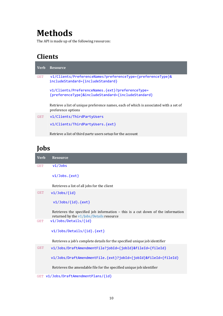# <span id="page-9-0"></span>**Methods**

The API is made up of the following resources:

### <span id="page-9-1"></span>**Clients**

| Verb       | <b>Resource</b>                                                                                             |
|------------|-------------------------------------------------------------------------------------------------------------|
| <b>GET</b> | v1/Clients/PreferenceNames?preferenceType={preferenceType}&<br>includeStandard={includeStandard}            |
|            | v1/Clients/PreferenceNames.{ext}?preferenceType=<br>{preferenceType}&includeStandard={includeStandard}      |
|            | Retrieve a list of unique preference names, each of which is associated with a set of<br>preference options |
| <b>GET</b> | v1/Clients/ThirdPartyUsers                                                                                  |
|            | v1/Clients/ThirdPartyUsers.{ext}                                                                            |
|            | Retrieve a list of third party users setup for the account                                                  |

### <span id="page-9-2"></span>**Jobs**

| <b>Verb</b> | <b>Resource</b>                                                                                                                  |
|-------------|----------------------------------------------------------------------------------------------------------------------------------|
| <b>GET</b>  | v1/Jobs                                                                                                                          |
|             | $v1/Jobs.\{ext\}$                                                                                                                |
|             | Retrieves a list of all jobs for the client                                                                                      |
| <b>GET</b>  | $v1/Jobs/{id}$                                                                                                                   |
|             | $v1/Jobs/{id}.{ext}$                                                                                                             |
|             | Retrieves the specified job information $-$ this is a cut down of the information<br>returned by the $v1/$ Jobs/Details resource |
| <b>GET</b>  | v1/Jobs/Details/{id}                                                                                                             |
|             | v1/Jobs/Details/{id}.{ext}                                                                                                       |
|             | Retrieves a job's complete details for the specified unique job identifier                                                       |
| <b>GET</b>  | v1/Jobs/DraftAmendmentFile?jobId={jobId}&fileId={fileId}                                                                         |
|             | v1/Jobs/DraftAmendmentFile.{ext}?jobId={jobId}&fileId={fileId}                                                                   |
|             | Retrieves the amendable file for the specified unique job identifier                                                             |

GET v1/Jobs/DraftAmendmentPlans/{id}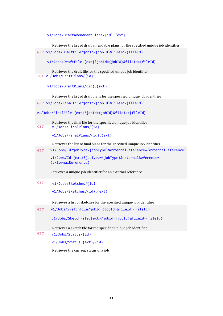v1/Jobs/DraftAmendmentPlans/{id}.{ext}

Retrieves the list of draft amendable plans for the specified unique job identifier

GET v1/Jobs/DraftFile?jobId={jobId}&fileId={fileId}

v1/Jobs/DraftFile.{ext}?jobId={jobId}&fileId={fileId}

Retrieves the draft file for the specified unique job identifier GET v1/Jobs/DraftPlans/{id}

v1/Jobs/DraftPlans/{id}.{ext}

Retrieves the list of draft plans for the specified unique job identifier

GET v1/Jobs/FinalFile?jobId={jobId}&fileId={fileId}

v1/Jobs/FinalFile.{ext}?jobId={jobId}&fileId={fileId}

Retrieves the final file for the specified unique job identifier GET v1/Jobs/FinalPlans/{id}

v1/Jobs/FinalPlans/{id}.{ext}

Retrieves the list of final plans for the specified unique job identifier

GET v1/Jobs/Id?jobType={jobType}&externalReference={externalReference}

v1/Jobs/Id.{ext}?jobType={jobType}&externalReference= {externalReference}

Retrieves a unique job identifier for an external reference

GET v1/Jobs/Sketches/{id}

v1/Jobs/Sketches/{id}.{ext}

Retrieves a list of sketches for the specified unique job identifier

| <b>GET</b> | v1/Jobs/SketchFile?jobId={jobId}&fileId={fileId}                |  |  |  |
|------------|-----------------------------------------------------------------|--|--|--|
|            | v1/Jobs/SketchFile.{ext}?jobId={jobId}&fileId={fileId}          |  |  |  |
|            | Retrieves a sketch file for the specified unique job identifier |  |  |  |
| <b>GET</b> | $v1/Jobs/Status/{id}$                                           |  |  |  |
|            | v1/Jobs/Status.{ext}/{id}                                       |  |  |  |
|            | Retrieves the current status of a job                           |  |  |  |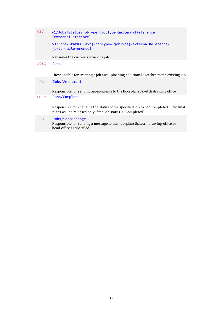| <b>GET</b> | v1/Jobs/Status?jobType={jobType}&externalReference=<br>{externalReference}                                                                            |
|------------|-------------------------------------------------------------------------------------------------------------------------------------------------------|
|            | v1/Jobs/Status.{ext}?jobType={jobType}&externalReference=<br>{externalReference}                                                                      |
|            | Retrieves the current status of a job                                                                                                                 |
| POST       | <b>Jobs</b>                                                                                                                                           |
|            | Responsible for creating a job and uploading additional sketches to the existing job                                                                  |
| POST       | Jobs/Amendment                                                                                                                                        |
|            | Responsible for sending amendments to the floorplansUsketch drawing office                                                                            |
| POST       | Jobs/Complete                                                                                                                                         |
|            | Responsible for changing the status of the specified job to be "Completed". The final<br>plans will be released only if the job status is "Completed" |
| POST       | Jobs/SendMessage<br>Responsible for sending a message to the floorplansUsketch drawing-office or<br>head-office as specified                          |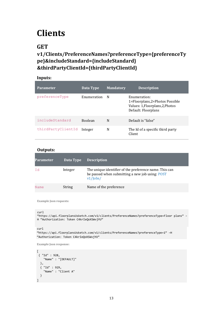# <span id="page-12-0"></span>**Clients**

### <span id="page-12-1"></span>**GET**

### **v1/Clients/PreferenceNames?preferenceType={preferenceTy pe}&includeStandard={includeStandard} &thirdPartyClientId={thirdPartyClientId}**

#### **Inputs:**

| <b>Parameter</b>   | Data Type      | <b>Mandatory</b> | <b>Description</b>                                                                                        |
|--------------------|----------------|------------------|-----------------------------------------------------------------------------------------------------------|
| preferenceType     | Enumeration    | N                | Enumeration:<br>1=Floorplans,2=Photos Possible<br>Values: 1, Floorplans, 2, Photos<br>Default: Floorplans |
| includeStandard    | <b>Boolean</b> | N                | Default is "false"                                                                                        |
| thirdPartyClientId | Integer        | N                | The Id of a specific third party<br>Client                                                                |

#### **Outputs:**

| <b>Parameter</b> | Data Type | <b>Description</b>                                                                                                       |
|------------------|-----------|--------------------------------------------------------------------------------------------------------------------------|
| Id               | Integer   | The unique identifier of the preference name. This can<br>be passed when submitting a new job using: POST<br>$v1/$ Jobs/ |
| Name             | String    | Name of the preference                                                                                                   |

**Example Json requests:** 

```
curl
```

```
"https://api.floorplansUsketch.com/v1/clients/PreferenceNames?preferenceType=Floor plans" –
H "Authorization: Token C4krIeQoXSWvjYU"
```
curl

```
"https://api.floorplansUsketch.com/v1/clients/PreferenceNames?preferenceType=1" –H 
"Authorization: Token C4krIeQoXSWvjYU"
```

```
\Gamma{ "Id" : 928, 
     "Name" : "[DEFAULT]" 
 }, 
 { "Id" : 929, 
 "Name" : "Client A" 
 } 
]
```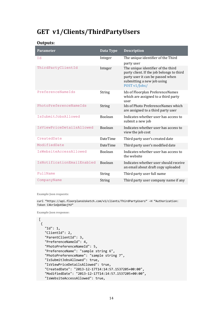### <span id="page-13-0"></span>**GET v1/Clients/ThirdPartyUsers**

#### **Outputs:**

| <b>Parameter</b>           | Data Type       | <b>Description</b>                                                                                                                                                 |
|----------------------------|-----------------|--------------------------------------------------------------------------------------------------------------------------------------------------------------------|
| Id                         | Integer         | The unique identifier of the Third<br>party user                                                                                                                   |
| ThirdPartyClientId         | Integer         | The unique identifier of the third<br>party client. If the job belongs to third<br>party user it can be passed when<br>submitting a new job using<br>POST v1/Jobs/ |
| PreferenceNameIds          | String          | Ids of Floorplan PreferenceNames<br>which are assigned to a third party<br>user                                                                                    |
| PhotoPreferenceNameIds     | String          | Ids of Photo Preference Names which<br>are assigned to a third party user                                                                                          |
| IsSubmitJobsAllowed        | <b>Boolean</b>  | Indicates whether user has access to<br>submit a new job                                                                                                           |
| IsViewPriceDetailsAllowed  | <b>Boolean</b>  | Indicates whether user has access to<br>view the job cost                                                                                                          |
| CreatedDate                | <b>DateTime</b> | Third party user's created date                                                                                                                                    |
| ModifiedDate               | <b>DateTime</b> | Third party user's modified date                                                                                                                                   |
| IsWebsiteAccessAllowed     | <b>Boolean</b>  | Indicates whether user has access to<br>the website                                                                                                                |
| IsNotificationEmailEnabled | <b>Boolean</b>  | Indicates whether user should receive<br>an email about draft copy uploaded                                                                                        |
| FullName                   | <b>String</b>   | Third party user full name                                                                                                                                         |
| CompanyName                | <b>String</b>   | Third party user company name if any                                                                                                                               |

**Example Json requests:** 

curl "https://api.floorplansUsketch.com/v1/clients/ThirdPartyUsers" –H "Authorization: Token C4krIeQoXSWvjYU"

```
\Gamma { 
    "Id": 1, 
    "ClientId": 2, 
    "ParentClientId": 3, 
    "PreferenceNameId": 4, 
    "PhotoPreferenceNameId": 5, 
    "PreferenceName": "sample string 6", 
    "PhotoPreferenceName": "sample string 7", 
    "IsSubmitJobsAllowed": true, 
    "IsViewPriceDetailsAllowed": true, 
 "CreatedDate": "2013-12-17T14:14:57.1537205+00:00", 
 "ModifiedDate": "2013-12-17T14:14:57.1537205+00:00", 
    "IsWebsiteAccessAllowed": true,
```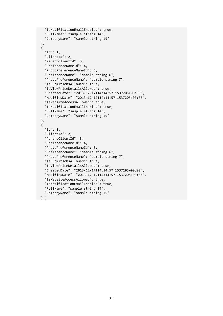```
 "IsNotificationEmailEnabled": true, 
   "FullName": "sample string 14", 
   "CompanyName": "sample string 15" 
 }, 
 { 
   "Id": 1, 
   "ClientId": 2, 
   "ParentClientId": 3, 
   "PreferenceNameId": 4, 
   "PhotoPreferenceNameId": 5, 
   "PreferenceName": "sample string 6", 
   "PhotoPreferenceName": "sample string 7", 
   "IsSubmitJobsAllowed": true, 
   "IsViewPriceDetailsAllowed": true, 
   "CreatedDate": "2013-12-17T14:14:57.1537205+00:00", 
   "ModifiedDate": "2013-12-17T14:14:57.1537205+00:00", 
   "IsWebsiteAccessAllowed": true, 
   "IsNotificationEmailEnabled": true, 
   "FullName": "sample string 14", 
   "CompanyName": "sample string 15" 
 }, 
 { 
   "Id": 1, 
   "ClientId": 2, 
   "ParentClientId": 3, 
   "PreferenceNameId": 4, 
   "PhotoPreferenceNameId": 5, 
   "PreferenceName": "sample string 6", 
   "PhotoPreferenceName": "sample string 7", 
   "IsSubmitJobsAllowed": true, 
   "IsViewPriceDetailsAllowed": true, 
   "CreatedDate": "2013-12-17T14:14:57.1537205+00:00", 
   "ModifiedDate": "2013-12-17T14:14:57.1537205+00:00", 
   "IsWebsiteAccessAllowed": true, 
   "IsNotificationEmailEnabled": true, 
   "FullName": "sample string 14", 
   "CompanyName": "sample string 15"
```

```
 } ]
```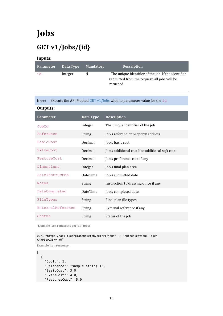# <span id="page-15-0"></span>**Jobs**

# <span id="page-15-1"></span>**GET v1/Jobs/{id}**

#### **Inputs:**

| <b>Parameter</b> | Data Type | <b>Mandatory</b> | <b>Description</b>                                                                                                |
|------------------|-----------|------------------|-------------------------------------------------------------------------------------------------------------------|
| id               | Integer   | N                | The unique identifier of the job. If the identifier<br>is omitted from the request, all jobs will be<br>returned. |

Note**:** Execute the API Method GET v1/Jobs with no parameter value for the id

| Outputs:          |                 |                                                 |
|-------------------|-----------------|-------------------------------------------------|
| <b>Parameter</b>  | Data Type       | <b>Description</b>                              |
| JobId             | Integer         | The unique identifier of the job                |
| Reference         | <b>String</b>   | Job's referene or property address              |
| <b>BasicCost</b>  | Decimal         | Job's basic cost                                |
| ExtraCost         | Decimal         | Job's additional cost like additional sqft cost |
| FeatureCost       | Decimal         | Job's preference cost if any                    |
| Dimensions        | Integer         | Job's final plan area                           |
| DateInstructed    | <b>DateTime</b> | Job's submitted date                            |
| <b>Notes</b>      | <b>String</b>   | Instruction to drawing office if any            |
| DateCompleted     | <b>DateTime</b> | Job's completed date                            |
| FileTypes         | <b>String</b>   | Final plan file types                           |
| ExternalReference | <b>String</b>   | External reference if any                       |
| Status            | <b>String</b>   | Status of the job                               |

**Example Json request to get "all" jobs:** 

curl "https://api.floorplansUsketch.com/v1/jobs" –H "Authorization: Token C4krIeQoXSWvjYU"

```
\overline{[} { 
     "JobId": 1, 
     "Reference": "sample string 1", 
     "BasicCost": 3.0, 
     "ExtraCost": 4.0, 
     "FeaturesCost": 5.0,
```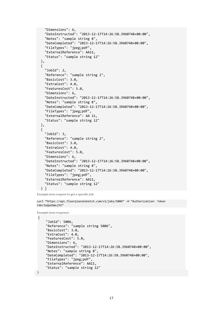```
 "Dimensions": 6, 
   "DateInstructed": "2013-12-17T14:26:58.3960748+00:00", 
   "Notes": "sample string 8", 
   "DateCompleted": "2013-12-17T14:26:58.3960748+00:00", 
   "FileTypes": "jpeg;pdf", 
   "ExternalReference": AA11, 
   "Status": "sample string 12" 
 }, 
 { 
   "JobId": 2, 
   "Reference": "sample string 2", 
   "BasicCost": 3.0, 
   "ExtraCost": 4.0, 
   "FeaturesCost": 5.0, 
   "Dimensions": 6, 
   "DateInstructed": "2013-12-17T14:26:58.3960748+00:00", 
   "Notes": "sample string 8", 
   "DateCompleted": "2013-12-17T14:26:58.3960748+00:00", 
   "FileTypes": "jpeg;pdf", 
   "ExternalReference": AA 11, 
   "Status": "sample string 12" 
 }, 
 { 
   "JobId": 3, 
   "Reference": "sample string 2", 
   "BasicCost": 3.0, 
   "ExtraCost": 4.0, 
   "FeaturesCost": 5.0, 
   "Dimensions": 6, 
   "DateInstructed": "2013-12-17T14:26:58.3960748+00:00", 
   "Notes": "sample string 8", 
   "DateCompleted": "2013-12-17T14:26:58.3960748+00:00", 
   "FileTypes": "jpeg;pdf", 
   "ExternalReference": AA11, 
   "Status": "sample string 12" 
 } ]
```
**Example Json request to get a specific job:** 

curl "https://api.floorplansUsketch.com/v1/jobs/5006" –H "Authorization: Token C4krIeQoXSWvjYU"

```
Example Json response:
```

```
{
      "JobId": 5006, 
      "Reference": "sample string 5006", 
      "BasicCost": 3.0, 
      "ExtraCost": 4.0, 
      "FeaturesCost": 5.0, 
      "Dimensions": 6, 
      "DateInstructed": "2013-12-17T14:26:58.3960748+00:00", 
      "Notes": "sample string 8", 
      "DateCompleted": "2013-12-17T14:26:58.3960748+00:00", 
      "FileTypes": "jpeg;pdf", 
      "ExternalReference": AA11, 
      "Status": "sample string 12" 
}
```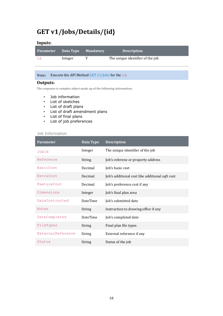## <span id="page-17-0"></span>**GET v1/Jobs/Details/{id}**

#### **Inputs:**

| Parameter Data Type |         | <b>Mandatory</b> | <b>Description</b>               |
|---------------------|---------|------------------|----------------------------------|
| id                  | Integer |                  | The unique identifier of the job |

Note**:** Execute the API Method GET v1/Jobs for the id

#### **Outputs:**

**The response is complex object made up of the following information:** 

- Job information
- List of sketches
- List of draft plans
- List of draft amendment plans
- List of final plans
- List of job preferences

#### Job Information

| <b>Parameter</b>  | <b>Data Type</b> | <b>Description</b>                              |
|-------------------|------------------|-------------------------------------------------|
| JobId             | Integer          | The unique identifier of the job                |
| Reference         | <b>String</b>    | Job's referene or property address              |
| <b>BasicCost</b>  | Decimal          | Job's basic cost                                |
| ExtraCost         | Decimal          | Job's additional cost like additional sqft cost |
| FeatureCost       | Decimal          | Job's preference cost if any                    |
| Dimensions        | Integer          | Job's final plan area                           |
| DateInstructed    | <b>DateTime</b>  | Job's submitted date                            |
| <b>Notes</b>      | <b>String</b>    | Instruction to drawing office if any            |
| DateCompleted     | <b>DateTime</b>  | Job's completed date                            |
| FileTypes         | <b>String</b>    | Final plan file types                           |
| ExternalReference | <b>String</b>    | External reference if any                       |
| Status            | <b>String</b>    | Status of the job                               |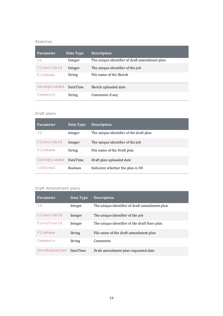#### Sketches

| <b>Parameter</b> | Data Type       | <b>Description</b>                            |
|------------------|-----------------|-----------------------------------------------|
| Id               | Integer         | The unique identifier of draft amendment plan |
| ClientJobId      | Integer         | The unique identifier of the job              |
| FileName         | String          | File name of the Sketch                       |
|                  |                 |                                               |
| DateUploaded     | <b>DateTime</b> | Sketch uploaded date                          |
| Comments         | String          | Comments if any                               |

#### Draft plans

| Parameter    | Data Type       | <b>Description</b>                      |
|--------------|-----------------|-----------------------------------------|
| Id           | Integer         | The unique identifier of the draft plan |
| ClientJobId  | Integer         | The unique identifier of the job        |
| FileName     | String          | File name of the Draft plan             |
| DateUploaded | <b>DateTime</b> | Draft plan uploaded date                |
| IsThreeD     | <b>Boolean</b>  | Indicates whether the plan is 3D        |

#### Draft Amendment plans

| <b>Parameter</b> | Data Type       | <b>Description</b>                            |
|------------------|-----------------|-----------------------------------------------|
| Id               | Integer         | The unique identifier of draft amendment plan |
| ClientJobId      | Integer         | The unique identifier of the job              |
| FloorPlanId      | Integer         | The unique identifier of the draft floor plan |
| FileName         | <b>String</b>   | File name of the draft amendment plan         |
| Comments         | <b>String</b>   | Comments                                      |
| DateRequested    | <b>DateTime</b> | Draft amendment plan requested date           |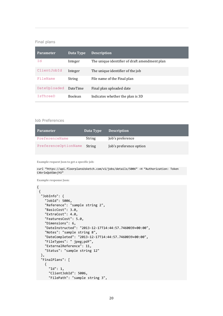#### Final plans

| <b>Parameter</b> | Data Type       | <b>Description</b>                            |
|------------------|-----------------|-----------------------------------------------|
| Id               | Integer         | The unique identifier of draft amendment plan |
| ClientJobId      | Integer         | The unique identifier of the job              |
| FileName         | String          | File name of the Final plan                   |
| DateUploaded     | <b>DateTime</b> | Final plan uploaded date                      |
| IsThreeD         | <b>Boolean</b>  | Indicates whether the plan is 3D              |

#### Job Preferences

| <b>Parameter</b>     | Data Type | <b>Description</b>      |
|----------------------|-----------|-------------------------|
| PreferenceName       | String    | Job's preference        |
| PreferenceOptionName | String    | Job's preference option |

**Example request Json to get a specific job:** 

curl "https://api.floorplansUsketch.com/v1/jobs/details/5006" –H "Authorization: Token C4krIeQoXSWvjYU"

**Example response Json:** 

```
{ 
{ 
  "JobInfo": { 
     "JobId": 5006, 
     "Reference": "sample string 2", 
     "BasicCost": 3.0, 
     "ExtraCost": 4.0, 
     "FeaturesCost": 5.0, 
     "Dimensions": 6, 
     "DateInstructed": "2013-12-17T14:44:57.7460039+00:00", 
     "Notes": "sample string 8", 
     "DateCompleted": "2013-12-17T14:44:57.7460039+00:00", 
     "FileTypes": " jpeg;pdf", 
     "ExternalReference": 11, 
     "Status": "sample string 12" 
   }, 
   "FinalPlans": [ 
     { 
       "Id": 1, 
       "ClientJobId": 5006, 
       "FilePath": "sample string 3",
```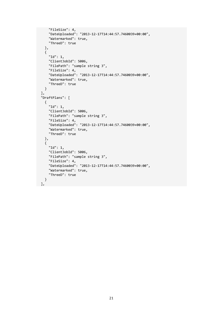```
 "FileSize": 4, 
     "DateUploaded": "2013-12-17T14:44:57.7460039+00:00", 
     "Watermarked": true, 
     "ThreeD": true 
   }, 
   { 
     "Id": 1, 
     "ClientJobId": 5006, 
     "FilePath": "sample string 3", 
     "FileSize": 4, 
     "DateUploaded": "2013-12-17T14:44:57.7460039+00:00", 
     "Watermarked": true, 
     "ThreeD": true 
  } 
 ], 
 "DraftPlans": [ 
   { 
     "Id": 1, 
     "ClientJobId": 5006, 
     "FilePath": "sample string 3", 
     "FileSize": 4, 
     "DateUploaded": "2013-12-17T14:44:57.7460039+00:00", 
     "Watermarked": true, 
     "ThreeD": true 
   }, 
   { 
     "Id": 1, 
     "ClientJobId": 5006, 
     "FilePath": "sample string 3", 
     "FileSize": 4, 
     "DateUploaded": "2013-12-17T14:44:57.7460039+00:00", 
     "Watermarked": true, 
     "ThreeD": true 
  } 
 ],
```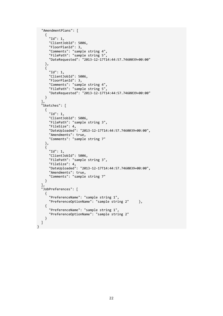```
 "AmendmentPlans": [ 
     { 
       "Id": 1, 
       "ClientJobId": 5006, 
       "FloorPlanId": 3, 
       "Comments": "sample string 4", 
       "FilePath": "sample string 5", 
       "DateRequested": "2013-12-17T14:44:57.7460039+00:00" 
     }, 
     { 
       "Id": 1, 
       "ClientJobId": 5006, 
       "FloorPlanId": 3, 
       "Comments": "sample string 4", 
       "FilePath": "sample string 5", 
       "DateRequested": "2013-12-17T14:44:57.7460039+00:00" 
     } 
 ], 
 "Sketches": [ 
\{ "Id": 1, 
       "ClientJobId": 5006, 
       "FilePath": "sample string 3", 
       "FileSize": 4, 
       "DateUploaded": "2013-12-17T14:44:57.7460039+00:00", 
 "Amendments": true, 
 "Comments": "sample string 7" 
     }, 
\{ "Id": 1, 
       "ClientJobId": 5006, 
       "FilePath": "sample string 3", 
       "FileSize": 4, 
       "DateUploaded": "2013-12-17T14:44:57.7460039+00:00", 
       "Amendments": true, 
       "Comments": "sample string 7" 
    } 
 ], 
 "JobPreferences": [ 
\{ "PreferenceName": "sample string 1", 
       "PreferenceOptionName": "sample string 2" }, 
     { 
       "PreferenceName": "sample string 1", 
       "PreferenceOptionName": "sample string 2" 
     } 
   ] 
}
```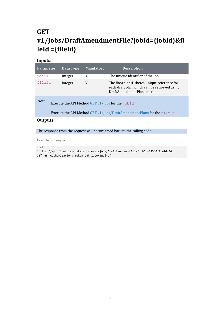# <span id="page-22-0"></span>**GET v1/Jobs/DraftAmendmentFile?jobId={jobId}&fi leId ={fileId}**

#### **Inputs:**

| <b>Parameter</b> |                                                                         | Data Type | <b>Mandatory</b> | <b>Description</b>                                                                                                       |
|------------------|-------------------------------------------------------------------------|-----------|------------------|--------------------------------------------------------------------------------------------------------------------------|
| jobId            |                                                                         | Integer   | Y                | The unique identifier of the job                                                                                         |
| fileId           |                                                                         | Integer   | Y                | The floorplansUsketch unique reference for<br>each draft plan which can be retrieved using<br>DraftAmendmentPlans method |
| Note:            | Execute the API Method GET $v1/$ Jobs for the jobId                     |           |                  |                                                                                                                          |
|                  | Execute the API Method GET v1/Jobs/DraftAmendmentPlans for the $fileId$ |           |                  |                                                                                                                          |

#### **Outputs:**

The response from the request will be streamed back to the calling code.

**Example Json request:** 

curl

"https://api.floorplansUsketch.com/v1/jobs/DraftAmendmentFile?jobId=1234&fileId=56 78" –H "Authorization: Token C4krIeQoXSWvjYU"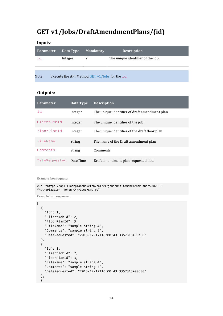### <span id="page-23-0"></span>**GET v1/Jobs/DraftAmendmentPlans/{id}**

#### **Inputs:**

| <b>Parameter</b> | Data Type                                        | <b>Mandatory</b> | <b>Description</b>                |
|------------------|--------------------------------------------------|------------------|-----------------------------------|
| id               | Integer                                          |                  | The unique identifier of the job. |
|                  |                                                  |                  |                                   |
| Note:            | Execute the API Method GET $v1/$ Jobs for the id |                  |                                   |

#### **Outputs:**

| <b>Parameter</b> | Data Type       | <b>Description</b>                            |
|------------------|-----------------|-----------------------------------------------|
| Id               | Integer         | The unique identifier of draft amendment plan |
| ClientJobId      | Integer         | The unique identifier of the job              |
| FloorPlanId      | Integer         | The unique identifier of the draft floor plan |
| FileName         | String          | File name of the Draft amendment plan         |
| Comments         | String          | Comments                                      |
| DateRequested    | <b>DateTime</b> | Draft amendment plan requested date           |

**Example Json request:** 

```
curl "https://api.floorplansUsketch.com/v1/jobs/DraftAmendmentPlans/5006" –H 
"Authorization: Token C4krIeQoXSWvjYU"
```

```
\overline{\text{L}} { 
     "Id": 1, 
     "ClientJobId": 2, 
     "FloorPlanId": 3, 
     "FileName": "sample string 4", 
     "Comments": "sample string 5", 
     "DateRequested": "2013-12-17T16:00:43.3357313+00:00" 
  }, 
   { 
     "Id": 1, 
     "ClientJobId": 2, 
     "FloorPlanId": 3, 
     "FileName": "sample string 4", 
     "Comments": "sample string 5", 
     "DateRequested": "2013-12-17T16:00:43.3357313+00:00" 
   }, 
   {
```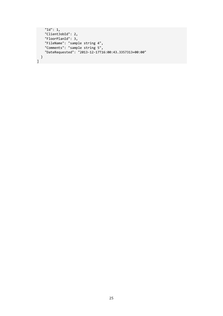```
 "Id": 1, 
     "ClientJobId": 2, 
     "FloorPlanId": 3, 
 "FileName": "sample string 4", 
 "Comments": "sample string 5", 
 "DateRequested": "2013-12-17T16:00:43.3357313+00:00" 
   } 
\overline{1}
```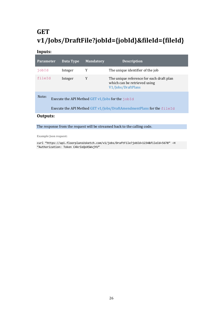# <span id="page-25-0"></span>**GET v1/Jobs/DraftFile?jobId={jobId}&fileId={fileId}**

#### **Inputs:**

| <b>Parameter</b>                                                                                                                   | Data Type | <b>Mandatory</b> | <b>Description</b>                                                                             |
|------------------------------------------------------------------------------------------------------------------------------------|-----------|------------------|------------------------------------------------------------------------------------------------|
| jobId                                                                                                                              | Integer   | Y                | The unique identifier of the job                                                               |
| fileId                                                                                                                             | Integer   | Y                | The unique reference for each draft plan<br>which can be retrieved using<br>V1/Jobs/DraftPlans |
| Note:<br>Execute the API Method GET v1/Jobs for the jobId<br>Execute the API Method GET v1/Jobs/DraftAmendmentPlans for the fileId |           |                  |                                                                                                |
| Autouter                                                                                                                           |           |                  |                                                                                                |

**Outputs:** 

The response from the request will be streamed back to the calling code.

**Example Json request:** 

curl "https://api.floorplansUsketch.com/v1/jobs/DraftFile?jobId=1234&fileId=5678" –H "Authorization: Token C4krIeQoXSWvjYU"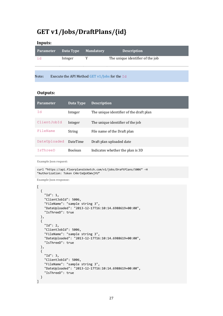### <span id="page-26-0"></span>**GET v1/Jobs/DraftPlans/{id}**

#### **Inputs:**

| <b>Parameter</b> | Data Type                                       | <b>Mandatory</b> | <b>Description</b>               |
|------------------|-------------------------------------------------|------------------|----------------------------------|
| id               | Integer                                         |                  | The unique identifier of the job |
|                  |                                                 |                  |                                  |
| Note:            | Execute the API Method GET v1/Jobs for the $Id$ |                  |                                  |

#### **Outputs:**

| <b>Parameter</b> | Data Type       | <b>Description</b>                      |
|------------------|-----------------|-----------------------------------------|
| Id               | Integer         | The unique identifier of the draft plan |
| ClientJobId      | Integer         | The unique identifier of the job        |
| FileName         | String          | File name of the Draft plan             |
| DateUploaded     | <b>DateTime</b> | Draft plan uploaded date                |
| IsThreeD         | <b>Boolean</b>  | Indicates whether the plan is 3D        |

**Example Json request:** 

```
curl "https://api.floorplansUsketch.com/v1/jobs/DraftPlans/5006" –H 
"Authorization: Token C4krIeQoXSWvjYU"
```

```
\overline{a} { 
     "Id": 1, 
     "ClientJobId": 5006, 
     "FileName": "sample string 3", 
     "DateUploaded": "2013-12-17T16:10:14.6988619+00:00", 
     "IsThreeD": true 
  }, 
   { 
     "Id": 2, 
     "ClientJobId": 5006, 
     "FileName": "sample string 3", 
     "DateUploaded": "2013-12-17T16:10:14.6988619+00:00", 
     "IsThreeD": true 
   }, 
   {
     "Id": 3, 
     "ClientJobId": 5006, 
     "FileName": "sample string 3", 
     "DateUploaded": "2013-12-17T16:10:14.6988619+00:00", 
     "IsThreeD": true 
   } 
]
```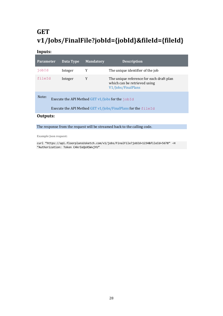# <span id="page-27-0"></span>**GET v1/Jobs/FinalFile?jobId={jobId}&fileId={fileId}**

#### **Inputs:**

| <b>Parameter</b>                                                                                                             | Data Type | <b>Mandatory</b> | <b>Description</b>                                                                             |
|------------------------------------------------------------------------------------------------------------------------------|-----------|------------------|------------------------------------------------------------------------------------------------|
| jobId                                                                                                                        | Integer   | Y                | The unique identifier of the job                                                               |
| fileId                                                                                                                       | Integer   | Y                | The unique reference for each draft plan<br>which can be retrieved using<br>V1/Jobs/FinalPlans |
| Note:<br>Execute the API Method GET $v1/$ Jobs for the jobId<br>Execute the API Method GET v1/Jobs/FinalPlans for the fileId |           |                  |                                                                                                |
| <b>A</b>                                                                                                                     |           |                  |                                                                                                |

#### **Outputs:**

The response from the request will be streamed back to the calling code.

**Example Json request:** 

curl "https://api.floorplansUsketch.com/v1/jobs/FinalFile?jobId=1234&fileId=5678" –H "Authorization: Token C4krIeQoXSWvjYU"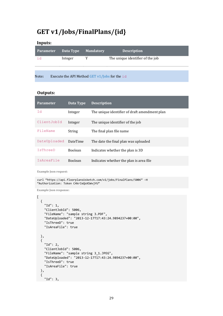### <span id="page-28-0"></span>**GET v1/Jobs/FinalPlans/{id}**

#### **Inputs:**

| Parameter | Data Type                                        | <b>Mandatory</b> | <b>Description</b>               |
|-----------|--------------------------------------------------|------------------|----------------------------------|
| id        | Integer                                          |                  | The unique identifier of the job |
|           |                                                  |                  |                                  |
| Note:     | Execute the API Method GET $v1/$ Jobs for the id |                  |                                  |

#### **Outputs:**

| <b>Parameter</b>         | Data Type       | <b>Description</b>                            |
|--------------------------|-----------------|-----------------------------------------------|
| Id                       | Integer         | The unique identifier of draft amendment plan |
| ClientJobId              | Integer         | The unique identifier of the job              |
| FileName                 | <b>String</b>   | The final plan file name                      |
| DateUploaded             | <b>DateTime</b> | The date the final plan was uploaded          |
| IsThreeD                 | <b>Boolean</b>  | Indicates whether the plan is 3D              |
| <i><b>TsAreaFile</b></i> | <b>Boolean</b>  | Indicates whether the plan is area file.      |

**Example Json request:** 

```
curl "https://api.floorplansUsketch.com/v1/jobs/FinalPlans/5006" –H 
"Authorization: Token C4krIeQoXSWvjYU"
```

```
\lbrack { 
     "Id": 1, 
     "ClientJobId": 5006, 
     "FileName": "sample string 3.PDF", 
     "DateUploaded": "2013-12-17T17:43:24.9894237+00:00", 
     "IsThreeD": true 
     "IsAreaFile": true 
  }, 
  { 
     "Id": 2, 
     "ClientJobId": 5006, 
     "FileName": "sample string 3_1.JPEG", 
     "DateUploaded": "2013-12-17T17:43:24.9894237+00:00", 
     "IsThreeD": true 
     "IsAreaFile": true 
  }, 
  { 
     "Id": 3,
```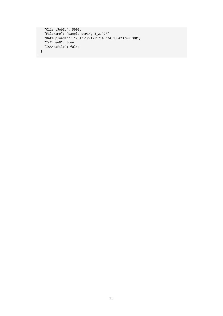```
 "ClientJobId": 5006, 
 "FileName": "sample string 3_2.PDF", 
 "DateUploaded": "2013-12-17T17:43:24.9894237+00:00", 
  "IsThreeD": true 
 "IsAreaFile": false 
   } 
]
```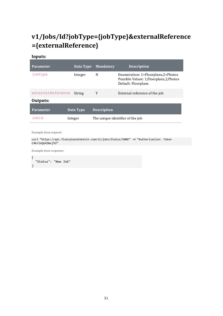# <span id="page-30-0"></span>**v1/Jobs/Id?jobType={jobType}&externalReference ={externalReference}**

#### **Inputs:**

| <b>Parameter</b>  | Data Type | <b>Mandatory</b>   | <b>Description</b>                                                                                     |
|-------------------|-----------|--------------------|--------------------------------------------------------------------------------------------------------|
| jobType           | Integer   | N                  | Enumeration: 1=Floorplans,2=Photos<br>Possible Values: 1, Floorplans, 2, Photos<br>Default: Floorplans |
| externalReference | String    | Y                  | External reference of the job                                                                          |
| Outputs:          |           |                    |                                                                                                        |
| <b>Parameter</b>  | Data Type | <b>Description</b> |                                                                                                        |
| JobId             | Integer   |                    | The unique identifier of the job                                                                       |

**Example Json request:** 

curl "https://api.floorplansUsketch.com/v1/jobs/Status/5006" –H "Authorization: Token C4krIeQoXSWvjYU"

**Example Json response:** 

{ "Status": "New Job" }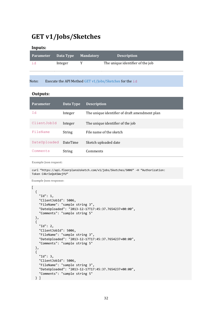### <span id="page-31-0"></span>**GET v1/Jobs/Sketches**

#### **Inputs:**

|         | <b>Description</b>               |
|---------|----------------------------------|
| Integer | The unique identifier of the job |

Note**:** Execute the API Method GET v1/Jobs/Sketches for the id

#### **Outputs:**

| <b>Parameter</b> | Data Type       | <b>Description</b>                            |
|------------------|-----------------|-----------------------------------------------|
| Id               | Integer         | The unique identifier of draft amendment plan |
| ClientJobId      | Integer         | The unique identifier of the job              |
| FileName         | <b>String</b>   | File name of the sketch                       |
| DateUploaded     | <b>DateTime</b> | Sketch uploaded date                          |
| Comments         | String          | Comments                                      |

**Example Json request:** 

curl "https://api.floorplansUsketch.com/v1/jobs/Sketches/5006" –H "Authorization: Token C4krIeQoXSWvjYU"

```
[ 
   { 
     "Id": 1, 
     "ClientJobId": 5006, 
     "FileName": "sample string 3", 
     "DateUploaded": "2013-12-17T17:45:37.7654237+00:00", 
     "Comments": "sample string 5" 
   }, 
   { 
     "Id": 2, 
     "ClientJobId": 5006, 
     "FileName": "sample string 3", 
     "DateUploaded": "2013-12-17T17:45:37.7654237+00:00", 
     "Comments": "sample string 5" 
   }, 
   { 
     "Id": 3, 
     "ClientJobId": 5006, 
     "FileName": "sample string 3", 
     "DateUploaded": "2013-12-17T17:45:37.7654237+00:00", 
     "Comments": "sample string 5" 
   } ]
```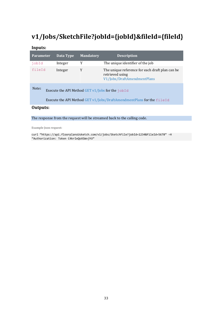# <span id="page-32-0"></span>**v1/Jobs/SketchFile?jobId={jobId}&fileId={fileId}**

#### **Inputs:**

| <b>Parameter</b>                                                                                                                      | Data Type | <b>Mandatory</b> | <b>Description</b>                                                                                |  |
|---------------------------------------------------------------------------------------------------------------------------------------|-----------|------------------|---------------------------------------------------------------------------------------------------|--|
| jobId                                                                                                                                 | Integer   | Y                | The unique identifier of the job                                                                  |  |
| fileId                                                                                                                                | Integer   | Y                | The unique reference for each draft plan can be<br>retrieved using<br>V1/Jobs/DraftAmendmentPlans |  |
| Note:<br>Execute the API Method GET $v1/$ Jobs for the jobId<br>Execute the API Method GET v1/Jobs/DraftAmendmentPlans for the fileId |           |                  |                                                                                                   |  |
| Outputs:                                                                                                                              |           |                  |                                                                                                   |  |

The response from the request will be streamed back to the calling code.

**Example Json request:** 

curl "https://api.floorplansUsketch.com/v1/jobs/SketchFile?jobId=1234&fileId=5678" –H "Authorization: Token C4krIeQoXSWvjYU"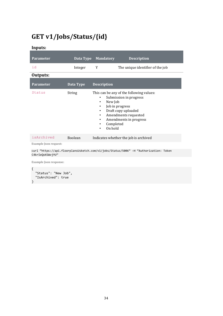# <span id="page-33-0"></span>**GET v1/Jobs/Status/{id}**

**Inputs:** 

| <b>Parameter</b>             | Data Type      | <b>Mandatory</b>                                                   | <b>Description</b>                                                                                                                                             |
|------------------------------|----------------|--------------------------------------------------------------------|----------------------------------------------------------------------------------------------------------------------------------------------------------------|
| id                           | Integer        | Y                                                                  | The unique identifier of the job                                                                                                                               |
| Outputs:                     |                |                                                                    |                                                                                                                                                                |
| <b>Parameter</b>             | Data Type      | <b>Description</b>                                                 |                                                                                                                                                                |
| Status                       | <b>String</b>  | ٠<br>New Job<br>٠<br>٠<br>٠<br>٠<br>Completed<br>٠<br>On hold<br>٠ | This can be any of the following values:<br>Submission in progress<br>Job in progress<br>Draft copy uploaded<br>Amendments requested<br>Amendments in progress |
| isArchived                   | <b>Boolean</b> |                                                                    | Indicates whether the job is archived                                                                                                                          |
| <b>Example Json request:</b> |                |                                                                    |                                                                                                                                                                |
| C4krIeQoXSWviYU"             |                |                                                                    | curl "https://api.floorplansUsketch.com/v1/jobs/Status/5006" -H "Authorization: Token                                                                          |

```
{ 
   "Status": "New Job", 
   "IsArchived": true 
}
```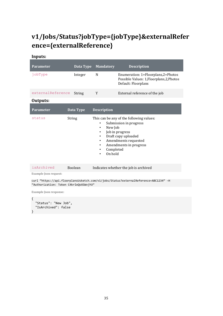# <span id="page-34-0"></span>**v1/Jobs/Status?jobType={jobType}&externalRefer ence={externalReference}**

#### **Inputs:**

| <b>Parameter</b>             | Data Type     | <b>Mandatory</b>                                                                                | <b>Description</b>                                                                                                                                             |
|------------------------------|---------------|-------------------------------------------------------------------------------------------------|----------------------------------------------------------------------------------------------------------------------------------------------------------------|
| jobType                      | Integer       | N                                                                                               | Enumeration: 1=Floorplans,2=Photos<br>Possible Values: 1, Floorplans, 2, Photos<br>Default: Floorplans                                                         |
| externalReference            | String        | Y                                                                                               | External reference of the job                                                                                                                                  |
| Outputs:                     |               |                                                                                                 |                                                                                                                                                                |
| <b>Parameter</b>             | Data Type     | <b>Description</b>                                                                              |                                                                                                                                                                |
| status                       | <b>String</b> | ٠<br>New Job<br>$\bullet$<br>٠<br>٠<br>$\bullet$<br>٠<br>Completed<br>٠<br>On hold<br>$\bullet$ | This can be any of the following values:<br>Submission in progress<br>Job in progress<br>Draft copy uploaded<br>Amendments requested<br>Amendments in progress |
| isArchived                   | Boolean       |                                                                                                 | Indicates whether the job is archived                                                                                                                          |
| <b>Example Ison request:</b> |               |                                                                                                 |                                                                                                                                                                |

curl "https://api.floorplansUsketch.com/v1/jobs/Status?externalReference=ABC1234" –H "Authorization: Token C4krIeQoXSWvjYU"

```
{ 
   "Status": "New Job", 
   "IsArchived": false 
}
```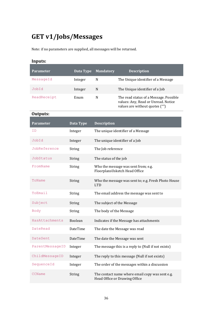# <span id="page-35-0"></span>**GET v1/Jobs/Messages**

Note: if no parameters are supplied, all messages will be returned.

#### **Inputs:**

| <b>Parameter</b> | Data Type | <b>Mandatory</b> | <b>Description</b>                                                                                              |
|------------------|-----------|------------------|-----------------------------------------------------------------------------------------------------------------|
| MessageId        | Integer   | N                | The Unique identifier of a Message                                                                              |
| JobId            | Integer   | N                | The Unique identifier of a Job                                                                                  |
| ReadReceipt      | Enum      | N                | The read status of a Message. Possible<br>values: Any, Read or Unread. Notice<br>values are without quotes ("") |

#### **Outputs:**

| <b>Parameter</b> | Data Type       | <b>Description</b>                                                               |
|------------------|-----------------|----------------------------------------------------------------------------------|
| ΙD               | Integer         | The unique identifier of a Message                                               |
| JobId            | Integer         | The unique identifier of a Job                                                   |
| JobReference     | String          | The Job reference                                                                |
| JobStatus        | String          | The status of the job                                                            |
| FromName         | String          | Who the message was sent from; e.g.<br>FloorplansUsketch Head Office             |
| ToName           | String          | Who the message was sent to; e.g. Fresh Photo House<br><b>LTD</b>                |
| ToEmail          | String          | The email address the message was sent to                                        |
| Subject          | String          | The subject of the Message                                                       |
| Body             | String          | The body of the Message                                                          |
| HasAttachments   | Boolean         | Indicates if the Message has attachments                                         |
| DateRead         | DateTime        | The date the Message was read                                                    |
| DateSent         | <b>DateTime</b> | The date the Message was sent                                                    |
| ParentMessageID  | Integer         | The message this is a reply to (Null if not exists)                              |
| ChildMessageID   | Integer         | The reply to this message (Null if not exists)                                   |
| SequenceId       | Integer         | The order of the messages within a discussion                                    |
| CCName           | String          | The contact name where email copy was sent e.g.<br>Head Office or Drawing Office |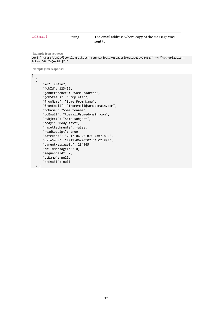```
Example Json request:
```
curl "https://api.floorplansUsketch.com/v1/jobs/Messages?MessageId=234567" –H "Authorization: Token C4krIeQoXSWvjYU"

```
\Gamma { 
       "id": 234567, 
       "jobId": 123456, 
       "jobReference": "Some address", 
       "jobStatus": "Completed", 
 "fromName": "Some From Name", 
 "fromEmail": "fromemail@somedomain.com", 
       "toName": "Some toname", 
       "toEmail": "toemail@somedomain.com", 
       "subject": "Some subject", 
       "body": "Body text", 
       "hasAttachments": false, 
       "readReceipt": true, 
       "dateRead": "2017-06-20T07:54:07.803", 
       "dateSent": "2017-06-20T07:54:07.803", 
       "parentMessageId": 234565, 
      "childMessageId": 0,
       "sequenceId": 2, 
       "ccName": null, 
       "ccEmail": null 
  } ]
```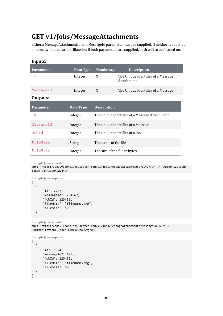## <span id="page-37-0"></span>**GET v1/Jobs/MessageAttachments**

Either a MessageAttachmentId or a MessageId parameter must be supplied. If neither is supplied, an error will be returned, likewise, if both parameters are supplied, both will to be filtered on.

| Inputs:          |           |                               |                                                  |
|------------------|-----------|-------------------------------|--------------------------------------------------|
| <b>Parameter</b> | Data Type | <b>Mandatory</b>              | <b>Description</b>                               |
| Id               | Integer   | N                             | The Unique identifier of a Message<br>Attachment |
| MessageId        | Integer   | N                             | The Unique identifier of a Message               |
| Outputs:         |           |                               |                                                  |
| <b>Parameter</b> | Data Type | <b>Description</b>            |                                                  |
| Ιd               | Integer   |                               | The unique identifier of a Message Attachment    |
| MessageId        | Integer   |                               | The unique identifier of a Message               |
| JobId            | Integer   |                               | The unique identifier of a Job                   |
| FileName         | String    | The name of the file          |                                                  |
| FileSize         | Integer   | The size of the file in bytes |                                                  |

**Example Json request:** 

curl "https://api.floorplansUsketch.com/v1/jobs/MessageAttachments?Id=7777" –H "Authorization: Token C4krIeQoXSWvjYU"

```
Example Json response: 
\lbrack { 
        "id": 7777, 
        "messageId": 234567, 
        "jobId": 123456, 
        "fileName": "filename.png", 
        "fileSize": 50 
   } 
]
```
**Example Json request:**  curl "https://api.floorplansUsketch.com/v1/jobs/MessageAttachments?MessageId=123" –H "Authorization: Token C4krIeQoXSWvjYU"

```
Example Json response:
```

```
\Gamma { 
        "id": 9924, 
        "messageId": 123, 
        "jobId": 123456, 
        "fileName": "filename.png", 
        "fileSize": 50 
   } 
]
```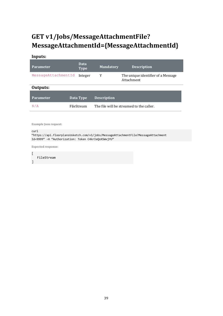# <span id="page-38-0"></span>**GET v1/Jobs/MessageAttachmentFile? MessageAttachmentId={MessageAttachmentId}**

#### **Inputs:**

| <b>Parameter</b>    | Data<br><b>Type</b> | <b>Mandatory</b>   | <b>Description</b>                               |
|---------------------|---------------------|--------------------|--------------------------------------------------|
| MessageAttachmentId | Integer             | Y                  | The unique identifier of a Message<br>Attachment |
| Outputs:            |                     |                    |                                                  |
| <b>Parameter</b>    | Data Type           | <b>Description</b> |                                                  |
| N/A                 | FileStream          |                    | The file will be streamed to the caller.         |

**Example Json request:** 

curl

"https://api.floorplansUsketch.com/v1/jobs/MessageAttachmentFile?MessageAttachment Id=9999" –H "Authorization: Token C4krIeQoXSWvjYU"

**Expected response:** 

[ FileStream ]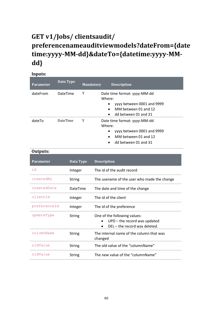# <span id="page-39-0"></span>**GET v1/Jobs/ clientsaudit/ preferencenameauditviewmodels?dateFrom={date time:yyyy-MM-dd}&dateTo={datetime:yyyy-MMdd}**

# **Inputs:**

| <b>Parameter</b> | Data Type       | <b>Mandatory</b> | <b>Description</b>                                                                                                        |
|------------------|-----------------|------------------|---------------------------------------------------------------------------------------------------------------------------|
| dateFrom         | <b>DateTime</b> | Y                | Date time format: yyyy-MM-dd<br>Where:<br>yyyy between 0001 and 9999<br>MM between 01 and 12<br>٠<br>dd between 01 and 31 |
| dateTo           | <b>DateTime</b> | Y                | Date time format: yyyy-MM-dd<br>Where:<br>yyyy between 0001 and 9999<br>MM between 01 and 12<br>$\bullet$                 |

• dd between 01 and 31

#### **Outputs:**

| <b>Parameter</b> | Data Type       | <b>Description</b>                                                                                                        |
|------------------|-----------------|---------------------------------------------------------------------------------------------------------------------------|
| id               | Integer         | The id of the audit record                                                                                                |
| createdBy        | <b>String</b>   | The usename of the user who made the change                                                                               |
| createdDate      | <b>DateTime</b> | The date and time of the change                                                                                           |
| clientId         | Integer         | The id of the client                                                                                                      |
| preferenceId     | Integer         | The id of the preference                                                                                                  |
| updateType       | <b>String</b>   | One of the following values:<br>$UPD$ – the record was updated<br>$\bullet$<br>DEL - the record was deleted.<br>$\bullet$ |
| columnName       | <b>String</b>   | The internal name of the column that was<br>changed                                                                       |
| oldValue         | <b>String</b>   | The old value of the "columnName"                                                                                         |
| oldValue         | String          | The new value of the "columnName"                                                                                         |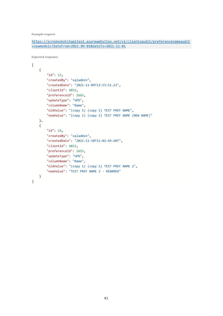**Example request:** 

```
https://screensketchapitest.azurewebsites.net/v1/clientsaudit/preferencenameaudit
viewmodels?dateFrom=2021-09-01&dateTo=2021-11-01
```
**Expected response:** 

```
\Gamma{
        "id": 13,
        "createdBy": "sqladmin",
        "createdDate": "2021-11-09T13:53:51.22",
        "clientId": 4852,
        "preferenceId": 2665,
        "updateType": "UPD",
        "columnName": "Name",
        "oldValue": "(copy 1) (copy 1) TEST PREF NAME",
        "newValue": "(copy 1) (copy 1) TEST PREF NAME (NEW NAME)"
   },
    {
        "id": 14,
        "createdBy": "sqladmin",
        "createdDate": "2021-11-10T11:02:49.607",
        "clientId": 4852,
        "preferenceId": 2655,
        "updateType": "UPD",
        "columnName": "Name",
        "oldValue": "(copy 1) (copy 1) TEST PREF NAME 2",
        "newValue": "TEST PREF NAME 2 - RENAMED"
   }
]
```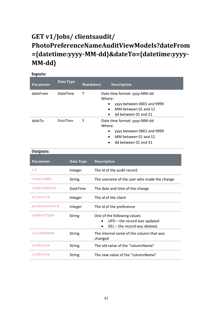# <span id="page-41-0"></span>**GET v1/Jobs/ clientsaudit/ PhotoPreferenceNameAuditViewModels?dateFrom ={datetime:yyyy-MM-dd}&dateTo={datetime:yyyy-MM-dd}**

| Inputs:          |                 |                  |                                                                                                                           |
|------------------|-----------------|------------------|---------------------------------------------------------------------------------------------------------------------------|
| <b>Parameter</b> | Data Type       | <b>Mandatory</b> | <b>Description</b>                                                                                                        |
| dateFrom         | <b>DateTime</b> | Y                | Date time format: yyyy-MM-dd<br>Where:<br>yyyy between 0001 and 9999<br>MM between 01 and 12<br>dd between 01 and 31<br>٠ |
| dateTo           | <b>DateTime</b> | Y                | Date time format: yyyy-MM-dd<br>Where:<br>yyyy between 0001 and 9999<br>MM between 01 and 12<br>dd between 01 and 31      |

#### **Outputs:**

| <b>Parameter</b> | Data Type       | <b>Description</b>                                                                                           |
|------------------|-----------------|--------------------------------------------------------------------------------------------------------------|
| id               | Integer         | The id of the audit record                                                                                   |
| createdBy        | <b>String</b>   | The usename of the user who made the change                                                                  |
| createdDate      | <b>DateTime</b> | The date and time of the change                                                                              |
| clientId         | Integer         | The id of the client                                                                                         |
| preferenceId     | Integer         | The id of the preference                                                                                     |
| updateType       | String          | One of the following values:<br>$UPD$ – the record was updated<br>$\bullet$<br>DEL - the record was deleted. |
| columnName       | <b>String</b>   | The internal name of the column that was<br>changed                                                          |
| oldValue         | String          | The old value of the "columnName"                                                                            |
| oldValue         | String          | The new value of the "columnName"                                                                            |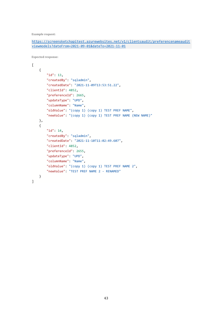**Example request:** 

```
https://screensketchapitest.azurewebsites.net/v1/clientsaudit/preferencenameaudit
viewmodels?dateFrom=2021-09-01&dateTo=2021-11-01
```
**Expected response:** 

```
\Gamma{
        "id": 13,
        "createdBy": "sqladmin",
        "createdDate": "2021-11-09T13:53:51.22",
        "clientId": 4852,
        "preferenceId": 2665,
        "updateType": "UPD",
        "columnName": "Name",
        "oldValue": "(copy 1) (copy 1) TEST PREF NAME",
        "newValue": "(copy 1) (copy 1) TEST PREF NAME (NEW NAME)"
   },
    {
       "id": 14,
        "createdBy": "sqladmin",
        "createdDate": "2021-11-10T11:02:49.607",
        "clientId": 4852,
        "preferenceId": 2655,
        "updateType": "UPD",
        "columnName": "Name",
        "oldValue": "(copy 1) (copy 1) TEST PREF NAME 2",
        "newValue": "TEST PREF NAME 2 - RENAMED"
   }
]
```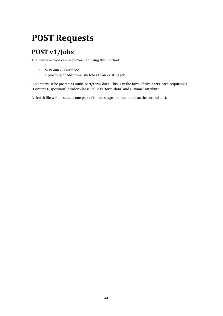# <span id="page-43-0"></span>**POST Requests**

# <span id="page-43-1"></span>**POST v1/Jobs**

The below actions can be performed using this method:

- Creating of a new job
- Uploading of additional sketches to an existing job

Job data must be posted as multi-part/form-data. This is in the form of two parts, each requiring a "Content-Disposition" header whose value is "form-data" and a "name" attribute.

A sketch file will be sent as one part of the message and the model as the second part.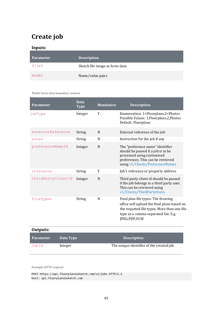# <span id="page-44-0"></span>**Create job**

#### **Inputs:**

| Parameter | <b>Description</b>             |
|-----------|--------------------------------|
| fileO     | Sketch file image as form-data |
| model     | Name/value pairs               |

#### **Model form-data boundary content**

| <b>Parameter</b>   | <b>Data</b><br><b>Type</b> | <b>Mandatory</b> | <b>Description</b>                                                                                                                                                                       |
|--------------------|----------------------------|------------------|------------------------------------------------------------------------------------------------------------------------------------------------------------------------------------------|
| jobType            | Integer                    | Y                | Enumeration: 1=Floorplans,2=Photos<br>Possible Values: 1, Floorplans, 2, Photos<br>Default: Floorplans                                                                                   |
| externalReference  | String                     | N                | External reference of the job                                                                                                                                                            |
| notes              | String                     | N                | Instruction for the job if any                                                                                                                                                           |
| preferenceNameId   | Integer                    | N                | The "preference name" identifier<br>should be passed if a job is to be<br>processed using customised<br>preferences. This can be retrieved<br>using v1/Clients/PreferenceNames           |
| reference          | String                     | Y                | Job's reference or property address                                                                                                                                                      |
| thirdPartyClientId | Integer                    | N                | Third party client id should be passed<br>if the job belongs to a third party user.<br>This can be retrieved using<br>v1/Clients/ThirdPartyUsers                                         |
| fileTypes          | String                     | N                | Final plan file types. The drawing<br>office will upload the final plans based on<br>the requeted file types. More than one file<br>type as a comma separated list. E.g.<br>JPEG;PDF;FCW |
| Outputs:           |                            |                  |                                                                                                                                                                                          |

| Parameter | Data Type | <b>Description</b>                       |
|-----------|-----------|------------------------------------------|
| JobId     | Integer   | The unique identifier of the created job |

**Example HTTP request:** 

POST https://api.floorplansUsketch.com/v1/jobs HTTP/1.1 Host: api.floorplansUsketch.com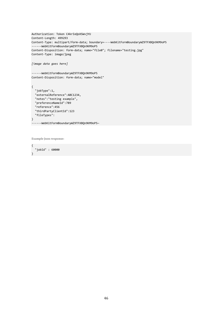```
Authorization: Token C4krIeQoXSWvjYU 
Content-Length: 499293 
Content-Type: multipart/form-data; boundary=----WebKitFormBoundaryWZ9TFXBQn9KM9oP5 
------WebKitFormBoundaryWZ9TFXBQn9KM9oP5 
Content-Disposition: form-data; name="file0"; filename="testing.jpg" 
Content-Type: image/jpeg 
[image data goes here] 
------WebKitFormBoundaryWZ9TFXBQn9KM9oP5 
Content-Disposition: form-data; name="model" 
{ 
   "jobType":1, 
   "externalReference":ABC1234, 
   "notes":"testing example", 
 "preferenceNameId":789 
 "reference":456 
   "thirdPartyClientId":123 
   "fileTypes": 
} 
------WebKitFormBoundaryWZ9TFXBQn9KM9oP5—
```
**Example Json response:** 

{ "jobId" : 60000 }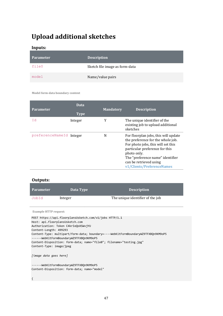## <span id="page-46-0"></span>**Upload additional sketches**

**Inputs:** 

| Parameter <sup>+</sup> | <b>Description</b>             |
|------------------------|--------------------------------|
| fileO                  | Sketch file image as form-data |
| model                  | Name/value pairs               |

#### **Model form-data boundary content**

| <b>Parameter</b>         | Data<br><b>Type</b> | <b>Mandatory</b> | <b>Description</b>                                                                                                                                                                                                                                           |
|--------------------------|---------------------|------------------|--------------------------------------------------------------------------------------------------------------------------------------------------------------------------------------------------------------------------------------------------------------|
| Id                       | Integer             | Y                | The unique identifier of the<br>existing job to upload additional<br>sketches                                                                                                                                                                                |
| preferenceNameId Integer |                     | N                | For floorplan jobs, this will update<br>the preference for the whole job.<br>For photo jobs, this will set this<br>particular preference for this<br>photo only.<br>The "preference name" identifier<br>can be retrieved using<br>v1/Clients/PreferenceNames |

#### **Outputs:**

| <b>Parameter</b> | Data Type | <b>Description</b>               |
|------------------|-----------|----------------------------------|
| JobId            | Integer   | The unique identifier of the job |

**Example HTTP request:** 

POST https://api.floorplansUsketch.com/v1/jobs HTTP/1.1 Host: api.floorplansUsketch.com Authorization: Token C4krIeQoXSWvjYU Content-Length: 499293 Content-Type: multipart/form-data; boundary=----WebKitFormBoundaryWZ9TFXBQn9KM9oP5 ------WebKitFormBoundaryWZ9TFXBQn9KM9oP5 Content-Disposition: form-data; name="file0"; filename="testing.jpg" Content-Type: image/jpeg *[image data goes here]* 

------WebKitFormBoundaryWZ9TFXBQn9KM9oP5 Content-Disposition: form-data; name="model"

{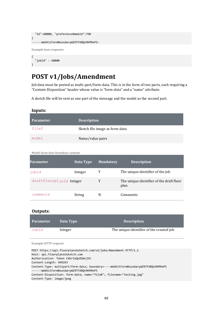```
 "Id":60000, "preferenceNameId":790
} 
------WebKitFormBoundaryWZ9TFXBQn9KM9oP5—
Example Json response: 
{ 
   "jobId" : 60000
```
## <span id="page-47-0"></span>**POST v1/Jobs/Amendment**

Job data must be posted as multi-part/form-data. This is in the form of two parts, each requiring a "Content-Disposition" header whose value is "form-data" and a "name" attribute.

A sketch file will be sent as one part of the message and the model as the second part.

}

| <b>Parameter</b> | <b>Description</b>             |
|------------------|--------------------------------|
| fileO            | Sketch file image as form-data |
| model            | Name/value pairs               |

**Model form-data boundary content** 

| Parameter                | Data Type | <b>Mandatory</b> | <b>Description</b>                               |
|--------------------------|-----------|------------------|--------------------------------------------------|
| jobId                    | Integer   | Y                | The unique identifier of the job                 |
| draftFloorplanId Integer |           | Y                | The unique identifier of the draft floor<br>plan |
| comments                 | String    | N                | Comments                                         |

#### **Outputs:**

| <b>Parameter</b> | Data Type | <b>Description</b>                       |
|------------------|-----------|------------------------------------------|
| JobId            | Integer   | The unique identifier of the created job |

**Example HTTP request:** 

POST https://api.floorplansUsketch.com/v1/jobs/Amendment HTTP/1.1 Host: api.floorplansUsketch.com Authorization: Token C4krIeQoXSWvjYU Content-Length: 499293 Content-Type: multipart/form-data; boundary=----WebKitFormBoundaryWZ9TFXBQn9KM9oP5 ------WebKitFormBoundaryWZ9TFXBQn9KM9oP5 Content-Disposition: form-data; name="file0"; filename="testing.jpg" Content-Type: image/jpeg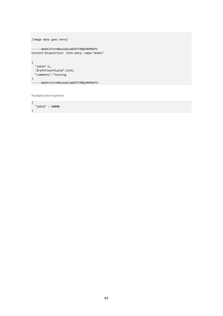```
[image data goes here] 
------WebKitFormBoundaryWZ9TFXBQn9KM9oP5 
Content-Disposition: form-data; name="model" 
\{ "jobId":1, 
  "draftFloorPlanId":1234, 
  "comments":"testing 
} 
------WebKitFormBoundaryWZ9TFXBQn9KM9oP5—
```
**Example Json response:** 

{ "jobId" : 60000 }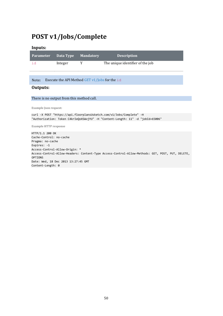## <span id="page-49-0"></span>**POST v1/Jobs/Complete**

#### **Inputs:**

| <u>  Parameter     Data Type     Mandatory </u> |         | <b>Description</b>               |
|-------------------------------------------------|---------|----------------------------------|
|                                                 | Integer | The unique identifier of the job |

Note**:** Execute the API Method GET v1/Jobs for the id

#### **Outputs:**

There is no output from this method call.

**Example Json request:** 

```
curl -X POST "https://api.floorplansUsketch.com/v1/Jobs/Complete" -H 
"Authorization: Token C4krIeQoXSWvjYU" -H "Content-Length: 11" -d "jobId=65006"
```
**Example HTTP response** 

HTTP/1.1 200 OK Cache-Control: no-cache Pragma: no-cache Expires: -1 Access-Control-Allow-Origin: \* Access-Control-Allow-Headers: Content-Type Access-Control-Allow-Methods: GET, POST, PUT, DELETE, OPTIONS Date: Wed, 18 Dec 2013 13:27:45 GMT Content-Length: 0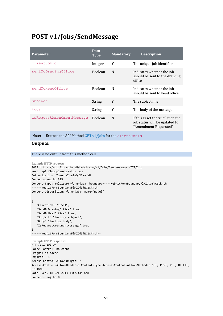### <span id="page-50-0"></span>**POST v1/Jobs/SendMessage**

| <b>Parameter</b>          | Data<br><b>Type</b> | <b>Mandatory</b> | <b>Description</b>                                                                           |
|---------------------------|---------------------|------------------|----------------------------------------------------------------------------------------------|
| clientJobId               | Integer             | Y                | The unique job identifier                                                                    |
| sentToDrawingOffice       | <b>Boolean</b>      | N                | Indicates whether the job<br>should be sent to the drawing<br>office                         |
| sendToHeadOffice          | <b>Boolean</b>      | N                | Indicates whether the job<br>should be sent to head office                                   |
| subject                   | String              | Y                | The subject line                                                                             |
| body                      | String              | Y                | The body of the message                                                                      |
| isRequestAmendmentMessage | <b>Boolean</b>      | N                | If this is set to "true", then the<br>job status will be updated to<br>"Amendment Requested" |

Note**:** Execute the API Method GET v1/Jobs for the clientJobId

#### **Outputs:**

#### There is no output from this method call.

```
Example HTTP request: 
POST https://api.floorplansUsketch.com/v1/Jobs/SendMessage HTTP/1.1 
Host: api.floorplansUsketch.com 
Authorization: Token C4krIeQoXSWvjYU 
Content-Length: 325 
Content-Type: multipart/form-data; boundary=----WebKitFormBoundaryFlMZCd3fNC6skhth 
------WebKitFormBoundaryFlMZCd3fNC6skhth 
Content-Disposition: form-data; name="model"
```

```
{ 
    "ClientJobID":65011, 
    "SendToDrawingOffice":true, 
    "SendToHeadOffice":true, 
    "Subject":"testing subject", 
    "Body":"testing body", 
    "IsRequestAmendmentMessage":true 
}
```

```
------WebKitFormBoundaryFlMZCd3fNC6skhth--
```

```
Example HTTP response: 
HTTP/1.1 200 OK 
Cache-Control: no-cache 
Pragma: no-cache 
Expires: -1 
Access-Control-Allow-Origin: * 
Access-Control-Allow-Headers: Content-Type Access-Control-Allow-Methods: GET, POST, PUT, DELETE, 
OPTIONS 
Date: Wed, 18 Dec 2013 13:27:45 GMT 
Content-Length: 0
```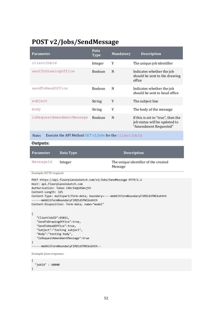### <span id="page-51-0"></span>**POST v2/Jobs/SendMessage**

| <b>Parameter</b>          | <b>Data</b><br><b>Type</b> | <b>Mandatory</b> | <b>Description</b>                                                                           |
|---------------------------|----------------------------|------------------|----------------------------------------------------------------------------------------------|
| clientJobId               | Integer                    | Y                | The unique job identifier                                                                    |
| sentToDrawingOffice       | <b>Boolean</b>             | N                | Indicates whether the job<br>should be sent to the drawing<br>office                         |
| sendToHeadOffice          | <b>Boolean</b>             | N                | Indicates whether the job<br>should be sent to head office                                   |
| subject                   | <b>String</b>              | Y                | The subject line                                                                             |
| body                      | String                     | Y                | The body of the message                                                                      |
| isRequestAmendmentMessage | <b>Boolean</b>             | N                | If this is set to "true", then the<br>job status will be updated to<br>"Amendment Requested" |

Note: Execute the API Method GET v2/Jobs for the clientJobId

#### **Outputs:**

| <b>Parameter</b> | Data Type | <b>Description</b>                              |
|------------------|-----------|-------------------------------------------------|
| MessageId        | Integer   | The unique identifier of the created<br>Message |

**Example HTTP request:** 

POST https://api.floorplansUsketch.com/v1/Jobs/SendMessage HTTP/1.1 Host: api.floorplansUsketch.com Authorization: Token C4krIeQoXSWvjYU Content-Length: 325 Content-Type: multipart/form-data; boundary=----WebKitFormBoundaryFlMZCd3fNC6skhth ------WebKitFormBoundaryFlMZCd3fNC6skhth Content-Disposition: form-data; name="model"

```
{ 
    "ClientJobID":65011, 
    "SendToDrawingOffice":true, 
    "SendToHeadOffice":true, 
    "Subject":"testing subject", 
    "Body":"testing body", 
    "IsRequestAmendmentMessage":true 
}
```
------WebKitFormBoundaryFlMZCd3fNC6skhth--

**Example Json response:** 

{ "jobId" : 60000 }